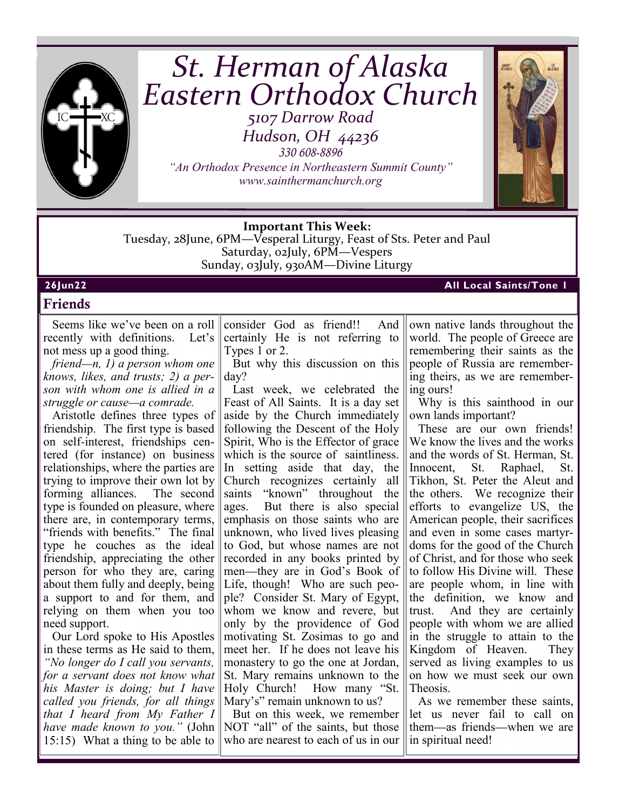

# *St. Herman of Alaska Eastern Orthodox Church 5107 Darrow Road*

*Hudson, OH 44236 330 608-8896* 

*"An Orthodox Presence in Northeastern Summit County" www.sainthermanchurch.org*



## **Important This Week:**

Tuesday, 28June, 6PM—Vesperal Liturgy, Feast of Sts. Peter and Paul Saturday, 02July, 6PM—Vespers Sunday, 03July, 930AM—Divine Liturgy

## **26Jun22 All Local Saints/Tone 1**

## **Friends**

Seems like we've been on a roll recently with definitions. Let's not mess up a good thing.

*friend—n, 1) a person whom one knows, likes, and trusts; 2) a person with whom one is allied in a struggle or cause—a comrade.*

Aristotle defines three types of friendship. The first type is based on self-interest, friendships centered (for instance) on business relationships, where the parties are trying to improve their own lot by forming alliances. The second type is founded on pleasure, where there are, in contemporary terms, "friends with benefits." The final type he couches as the ideal friendship, appreciating the other person for who they are, caring about them fully and deeply, being a support to and for them, and relying on them when you too need support.

Our Lord spoke to His Apostles in these terms as He said to them, *"No longer do I call you servants, for a servant does not know what his Master is doing; but I have called you friends, for all things that I heard from My Father I have made known to you."* (John 15:15) What a thing to be able to

consider God as friend!! And certainly He is not referring to Types 1 or 2.

But why this discussion on this day?

Last week, we celebrated the Feast of All Saints. It is a day set aside by the Church immediately following the Descent of the Holy Spirit, Who is the Effector of grace which is the source of saintliness. In setting aside that day, the Church recognizes certainly all saints "known" throughout the ages. But there is also special But there is also special emphasis on those saints who are unknown, who lived lives pleasing to God, but whose names are not recorded in any books printed by men—they are in God's Book of Life, though! Who are such people? Consider St. Mary of Egypt, whom we know and revere, but only by the providence of God motivating St. Zosimas to go and meet her. If he does not leave his monastery to go the one at Jordan, St. Mary remains unknown to the Holy Church! How many "St. Mary's" remain unknown to us?

But on this week, we remember NOT "all" of the saints, but those who are nearest to each of us in our own native lands throughout the world. The people of Greece are remembering their saints as the people of Russia are remembering theirs, as we are remembering ours!

Why is this sainthood in our own lands important?

These are our own friends! We know the lives and the works and the words of St. Herman, St. Innocent, St. Raphael, St. Tikhon, St. Peter the Aleut and the others. We recognize their efforts to evangelize US, the American people, their sacrifices and even in some cases martyrdoms for the good of the Church of Christ, and for those who seek to follow His Divine will. These are people whom, in line with the definition, we know and trust. And they are certainly people with whom we are allied in the struggle to attain to the Kingdom of Heaven. They served as living examples to us on how we must seek our own Theosis.

As we remember these saints, let us never fail to call on them—as friends—when we are in spiritual need!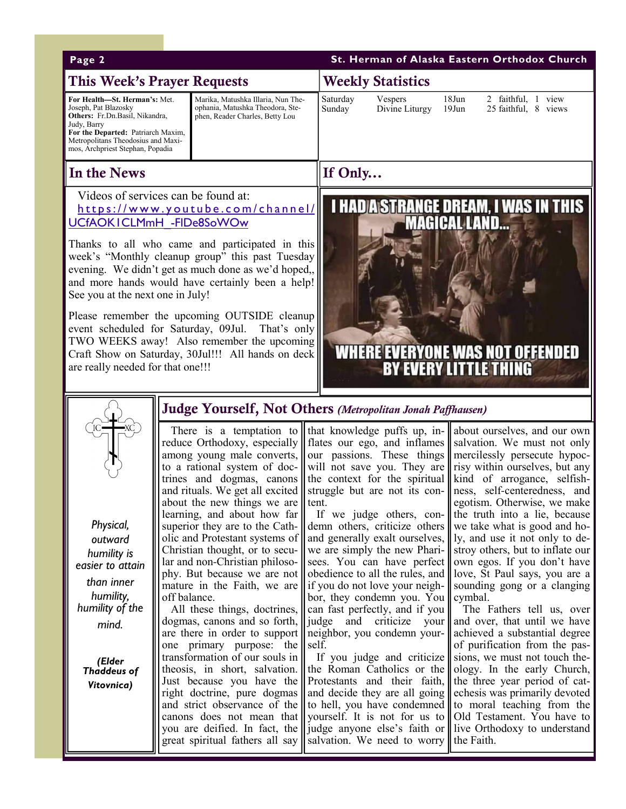| St. Herman of Alaska Eastern Orthodox Church<br>Page 2                                                                                                                                                                                                                                                                                                                                                                                                                                                                                                                                                                                                                                                                                               |                                                                                                                                                                                                                                                                                                         |                                                                                                                                                                                                                                                                                                                                                                                                                                                                                                |                                                                                                                                                                                                                                                                                                                                                                                                                                                                                                                                                                                                                                                                                                                                                                                                                                                                                                                                                                                                                                                                                                                                                                                                                                                                                                                                                                                                                                                                                                                                                                                                                                                                                                                                                                                                               |
|------------------------------------------------------------------------------------------------------------------------------------------------------------------------------------------------------------------------------------------------------------------------------------------------------------------------------------------------------------------------------------------------------------------------------------------------------------------------------------------------------------------------------------------------------------------------------------------------------------------------------------------------------------------------------------------------------------------------------------------------------|---------------------------------------------------------------------------------------------------------------------------------------------------------------------------------------------------------------------------------------------------------------------------------------------------------|------------------------------------------------------------------------------------------------------------------------------------------------------------------------------------------------------------------------------------------------------------------------------------------------------------------------------------------------------------------------------------------------------------------------------------------------------------------------------------------------|---------------------------------------------------------------------------------------------------------------------------------------------------------------------------------------------------------------------------------------------------------------------------------------------------------------------------------------------------------------------------------------------------------------------------------------------------------------------------------------------------------------------------------------------------------------------------------------------------------------------------------------------------------------------------------------------------------------------------------------------------------------------------------------------------------------------------------------------------------------------------------------------------------------------------------------------------------------------------------------------------------------------------------------------------------------------------------------------------------------------------------------------------------------------------------------------------------------------------------------------------------------------------------------------------------------------------------------------------------------------------------------------------------------------------------------------------------------------------------------------------------------------------------------------------------------------------------------------------------------------------------------------------------------------------------------------------------------------------------------------------------------------------------------------------------------|
| <b>This Week's Prayer Requests</b>                                                                                                                                                                                                                                                                                                                                                                                                                                                                                                                                                                                                                                                                                                                   |                                                                                                                                                                                                                                                                                                         | <b>Weekly Statistics</b>                                                                                                                                                                                                                                                                                                                                                                                                                                                                       |                                                                                                                                                                                                                                                                                                                                                                                                                                                                                                                                                                                                                                                                                                                                                                                                                                                                                                                                                                                                                                                                                                                                                                                                                                                                                                                                                                                                                                                                                                                                                                                                                                                                                                                                                                                                               |
| For Health-St. Herman's: Met.<br>Joseph, Pat Blazosky<br>Others: Fr.Dn.Basil, Nikandra,<br>Judy, Barry<br>For the Departed: Patriarch Maxim,<br>Metropolitans Theodosius and Maxi-<br>mos, Archpriest Stephan, Popadia                                                                                                                                                                                                                                                                                                                                                                                                                                                                                                                               | Marika, Matushka Illaria, Nun The-<br>ophania, Matushka Theodora, Ste-<br>phen, Reader Charles, Betty Lou                                                                                                                                                                                               | Saturday<br>Vespers<br>Divine Liturgy<br>Sunday                                                                                                                                                                                                                                                                                                                                                                                                                                                | $18$ Jun<br>2 faithful, 1 view<br>$19$ Jun<br>25 faithful, 8 views                                                                                                                                                                                                                                                                                                                                                                                                                                                                                                                                                                                                                                                                                                                                                                                                                                                                                                                                                                                                                                                                                                                                                                                                                                                                                                                                                                                                                                                                                                                                                                                                                                                                                                                                            |
| In the News                                                                                                                                                                                                                                                                                                                                                                                                                                                                                                                                                                                                                                                                                                                                          |                                                                                                                                                                                                                                                                                                         | If Only                                                                                                                                                                                                                                                                                                                                                                                                                                                                                        |                                                                                                                                                                                                                                                                                                                                                                                                                                                                                                                                                                                                                                                                                                                                                                                                                                                                                                                                                                                                                                                                                                                                                                                                                                                                                                                                                                                                                                                                                                                                                                                                                                                                                                                                                                                                               |
| Videos of services can be found at:<br><b>I HAD A STRANGE DREAM, I WAS IN THIS<br/>MAGICAL LAND</b><br>https://www.youtube.com/channel/<br>UCfAOKICLMmH - FIDe8SoWOw<br>Thanks to all who came and participated in this<br>week's "Monthly cleanup group" this past Tuesday<br>evening. We didn't get as much done as we'd hoped,,<br>and more hands would have certainly been a help!<br>See you at the next one in July!<br>Please remember the upcoming OUTSIDE cleanup<br>event scheduled for Saturday, 09Jul.<br>That's only<br>TWO WEEKS away! Also remember the upcoming<br><b>WHERE EVERYONE WAS NOT OFFENDED</b><br>Craft Show on Saturday, 30Jul!!! All hands on deck<br><b>BY EVERY LITTLE THING</b><br>are really needed for that one!!! |                                                                                                                                                                                                                                                                                                         |                                                                                                                                                                                                                                                                                                                                                                                                                                                                                                |                                                                                                                                                                                                                                                                                                                                                                                                                                                                                                                                                                                                                                                                                                                                                                                                                                                                                                                                                                                                                                                                                                                                                                                                                                                                                                                                                                                                                                                                                                                                                                                                                                                                                                                                                                                                               |
| Judge Yourself, Not Others (Metropolitan Jonah Paffhausen)                                                                                                                                                                                                                                                                                                                                                                                                                                                                                                                                                                                                                                                                                           |                                                                                                                                                                                                                                                                                                         |                                                                                                                                                                                                                                                                                                                                                                                                                                                                                                |                                                                                                                                                                                                                                                                                                                                                                                                                                                                                                                                                                                                                                                                                                                                                                                                                                                                                                                                                                                                                                                                                                                                                                                                                                                                                                                                                                                                                                                                                                                                                                                                                                                                                                                                                                                                               |
| ■XC<br>Physical,<br>outward<br>humility is<br>easier to attain<br>than inner<br>humility,<br>humility of the<br>mind.<br>(Elder<br>Thaddeus of<br>Vitovnica)                                                                                                                                                                                                                                                                                                                                                                                                                                                                                                                                                                                         | about the new things we are $\parallel$ tent.<br>learning, and about how far<br>superior they are to the Cath- $\parallel$<br>Christian thought, or to secu-<br>phy. But because we are not<br>off balance.<br>one primary purpose: the $\parallel$ self.<br>transformation of our souls in $\parallel$ | demn others, criticize others<br>we are simply the new Phari- $\parallel$<br>$\ $ ar and non-Christian philoso- $\ $ sees. You can have perfect $\ $<br>bor, they condemn you. You $\ $ cymbal.<br>All these things, doctrines,    can fast perfectly, and if you  <br>dogmas, canons and so forth, $\ \cdot\ $ judge and criticize your<br>are there in order to support    neighbor, you condemn your- $\parallel$<br>great spiritual fathers all say salvation. We need to worry the Faith. | There is a temptation to that knowledge puffs up, in- $\ \$ about ourselves, and our own<br>reduce Orthodoxy, especially    flates our ego, and inflames    salvation. We must not only<br>among young male converts, our passions. These things mercilessly persecute hypoc-<br>to a rational system of doc- will not save you. They are risy within ourselves, but any<br>trines and dogmas, canons the context for the spiritual kind of arrogance, selfish-<br>and rituals. We get all excited    struggle but are not its con-    ness, self-centeredness, and<br>egotism. Otherwise, we make<br>If we judge others, con- $\ $ the truth into a lie, because<br>we take what is good and ho-<br>olic and Protestant systems of    and generally exalt ourselves,    1y, and use it not only to de-<br>stroy others, but to inflate our<br>own egos. If you don't have<br>obedience to all the rules, and $\parallel$ love, St Paul says, you are a<br>mature in the Faith, we are    if you do not love your neigh- $\ $ sounding gong or a clanging<br>The Fathers tell us, over<br>and over, that until we have<br>achieved a substantial degree<br>of purification from the pas-<br>If you judge and criticize sions, we must not touch the-<br>theosis, in short, salvation. the Roman Catholics or the ology. In the early Church,<br>Just because you have the Protestants and their faith, the three year period of cat-<br>right doctrine, pure dogmas and decide they are all going cheesis was primarily devoted<br>and strict observance of the to hell, you have condemned to moral teaching from the<br>canons does not mean that vourself. It is not for us to Old Testament. You have to<br>you are deified. In fact, the    judge anyone else's faith or    live Orthodoxy to understand |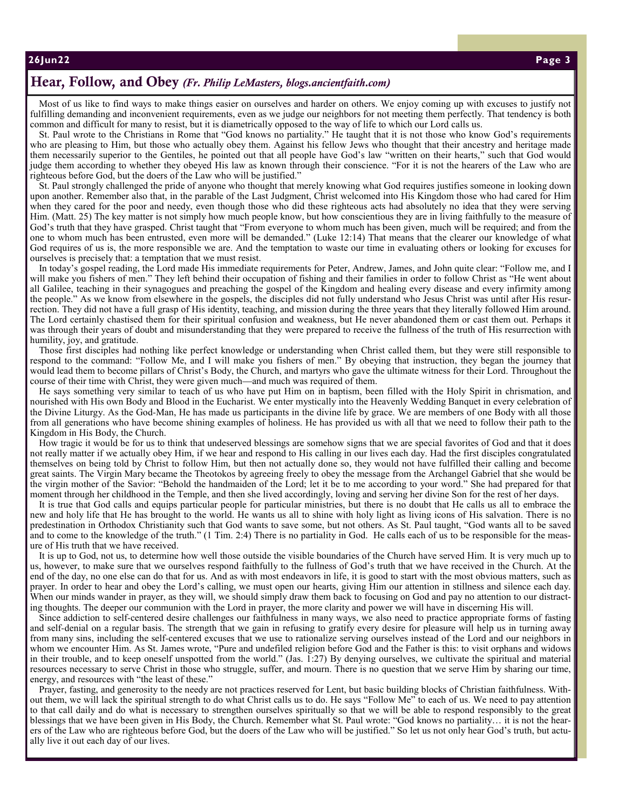#### **26Jun22 "Faith of o ur Fathers", Insta llme nt #2 Page 3**

# **Hear, Follow, and Obey** *(Fr. Philip LeMasters, blogs.ancientfaith.com)*

Most of us like to find ways to make things easier on ourselves and harder on others. We enjoy coming up with excuses to justify not fulfilling demanding and inconvenient requirements, even as we judge our neighbors for not meeting them perfectly. That tendency is both common and difficult for many to resist, but it is diametrically opposed to the way of life to which our Lord calls us.

St. Paul wrote to the Christians in Rome that "God knows no partiality." He taught that it is not those who know God's requirements who are pleasing to Him, but those who actually obey them. Against his fellow Jews who thought that their ancestry and heritage made them necessarily superior to the Gentiles, he pointed out that all people have God's law "written on their hearts," such that God would judge them according to whether they obeyed His law as known through their conscience. "For it is not the hearers of the Law who are righteous before God, but the doers of the Law who will be justified."

St. Paul strongly challenged the pride of anyone who thought that merely knowing what God requires justifies someone in looking down upon another. Remember also that, in the parable of the Last Judgment, Christ welcomed into His Kingdom those who had cared for Him when they cared for the poor and needy, even though those who did these righteous acts had absolutely no idea that they were serving Him. (Matt. 25) The key matter is not simply how much people know, but how conscientious they are in living faithfully to the measure of God's truth that they have grasped. Christ taught that "From everyone to whom much has been given, much will be required; and from the one to whom much has been entrusted, even more will be demanded." (Luke 12:14) That means that the clearer our knowledge of what God requires of us is, the more responsible we are. And the temptation to waste our time in evaluating others or looking for excuses for ourselves is precisely that: a temptation that we must resist.

In today's gospel reading, the Lord made His immediate requirements for Peter, Andrew, James, and John quite clear: "Follow me, and I will make you fishers of men." They left behind their occupation of fishing and their families in order to follow Christ as "He went about all Galilee, teaching in their synagogues and preaching the gospel of the Kingdom and healing every disease and every infirmity among the people." As we know from elsewhere in the gospels, the disciples did not fully understand who Jesus Christ was until after His resurrection. They did not have a full grasp of His identity, teaching, and mission during the three years that they literally followed Him around. The Lord certainly chastised them for their spiritual confusion and weakness, but He never abandoned them or cast them out. Perhaps it was through their years of doubt and misunderstanding that they were prepared to receive the fullness of the truth of His resurrection with | humility, joy, and gratitude.

Those first disciples had nothing like perfect knowledge or understanding when Christ called them, but they were still responsible to respond to the command: "Follow Me, and I will make you fishers of men." By obeying that instruction, they began the journey that would lead them to become pillars of Christ's Body, the Church, and martyrs who gave the ultimate witness for their Lord. Throughout the course of their time with Christ, they were given much—and much was required of them.

He says something very similar to teach of us who have put Him on in baptism, been filled with the Holy Spirit in chrismation, and nourished with His own Body and Blood in the Eucharist. We enter mystically into the Heavenly Wedding Banquet in every celebration of the Divine Liturgy. As the God-Man, He has made us participants in the divine life by grace. We are members of one Body with all those from all generations who have become shining examples of holiness. He has provided us with all that we need to follow their path to the Kingdom in His Body, the Church.

How tragic it would be for us to think that undeserved blessings are somehow signs that we are special favorites of God and that it does not really matter if we actually obey Him, if we hear and respond to His calling in our lives each day. Had the first disciples congratulated themselves on being told by Christ to follow Him, but then not actually done so, they would not have fulfilled their calling and become great saints. The Virgin Mary became the Theotokos by agreeing freely to obey the message from the Archangel Gabriel that she would be the virgin mother of the Savior: "Behold the handmaiden of the Lord; let it be to me according to your word." She had prepared for that moment through her childhood in the Temple, and then she lived accordingly, loving and serving her divine Son for the rest of her days.

It is true that God calls and equips particular people for particular ministries, but there is no doubt that He calls us all to embrace the new and holy life that He has brought to the world. He wants us all to shine with holy light as living icons of His salvation. There is no predestination in Orthodox Christianity such that God wants to save some, but not others. As St. Paul taught, "God wants all to be saved and to come to the knowledge of the truth." (1 Tim. 2:4) There is no partiality in God. He calls each of us to be responsible for the measure of His truth that we have received.

It is up to God, not us, to determine how well those outside the visible boundaries of the Church have served Him. It is very much up to us, however, to make sure that we ourselves respond faithfully to the fullness of God's truth that we have received in the Church. At the end of the day, no one else can do that for us. And as with most endeavors in life, it is good to start with the most obvious matters, such as prayer. In order to hear and obey the Lord's calling, we must open our hearts, giving Him our attention in stillness and silence each day. When our minds wander in prayer, as they will, we should simply draw them back to focusing on God and pay no attention to our distracting thoughts. The deeper our communion with the Lord in prayer, the more clarity and power we will have in discerning His will.

Since addiction to self-centered desire challenges our faithfulness in many ways, we also need to practice appropriate forms of fasting and self-denial on a regular basis. The strength that we gain in refusing to gratify every desire for pleasure will help us in turning away from many sins, including the self-centered excuses that we use to rationalize serving ourselves instead of the Lord and our neighbors in whom we encounter Him. As St. James wrote, "Pure and undefiled religion before God and the Father is this: to visit orphans and widows in their trouble, and to keep oneself unspotted from the world." (Jas. 1:27) By denying ourselves, we cultivate the spiritual and material resources necessary to serve Christ in those who struggle, suffer, and mourn. There is no question that we serve Him by sharing our time, energy, and resources with "the least of these."

Prayer, fasting, and generosity to the needy are not practices reserved for Lent, but basic building blocks of Christian faithfulness. Without them, we will lack the spiritual strength to do what Christ calls us to do. He says "Follow Me" to each of us. We need to pay attention to that call daily and do what is necessary to strengthen ourselves spiritually so that we will be able to respond responsibly to the great blessings that we have been given in His Body, the Church. Remember what St. Paul wrote: "God knows no partiality… it is not the hearers of the Law who are righteous before God, but the doers of the Law who will be justified." So let us not only hear God's truth, but actually live it out each day of our lives.